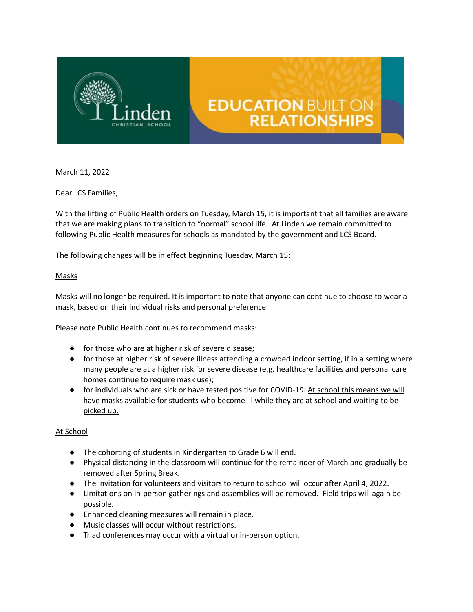

# **EDUCATION BUILT ON RELATIONSHIPS**

March 11, 2022

Dear LCS Families,

With the lifting of Public Health orders on Tuesday, March 15, it is important that all families are aware that we are making plans to transition to "normal" school life. At Linden we remain committed to following Public Health measures for schools as mandated by the government and LCS Board.

The following changes will be in effect beginning Tuesday, March 15:

## **Masks**

Masks will no longer be required. It is important to note that anyone can continue to choose to wear a mask, based on their individual risks and personal preference.

Please note Public Health continues to recommend masks:

- for those who are at higher risk of severe disease;
- for those at higher risk of severe illness attending a crowded indoor setting, if in a setting where many people are at a higher risk for severe disease (e.g. healthcare facilities and personal care homes continue to require mask use);
- for individuals who are sick or have tested positive for COVID-19. At school this means we will have masks available for students who become ill while they are at school and waiting to be picked up.

## At School

- The cohorting of students in Kindergarten to Grade 6 will end.
- Physical distancing in the classroom will continue for the remainder of March and gradually be removed after Spring Break.
- The invitation for volunteers and visitors to return to school will occur after April 4, 2022.
- Limitations on in-person gatherings and assemblies will be removed. Field trips will again be possible.
- Enhanced cleaning measures will remain in place.
- Music classes will occur without restrictions.
- Triad conferences may occur with a virtual or in-person option.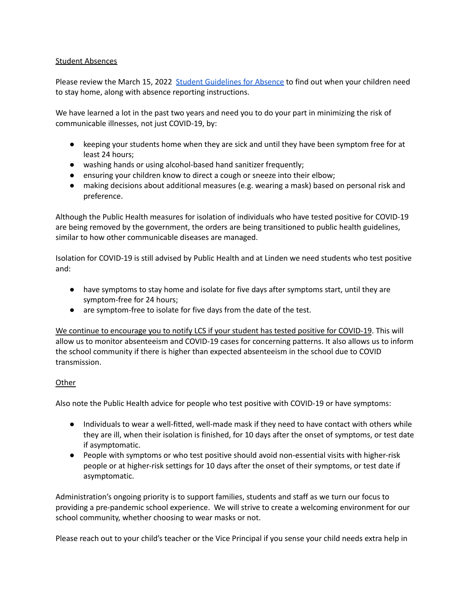## Student Absences

Please review the March 15, 2022 Student [Guidelines](https://drive.google.com/file/d/1jfOtlTb0qw0XiuG0-tu3aZNhNYtoEnvH/view?usp=sharing) for Absence to find out when your children need to stay home, along with absence reporting instructions.

We have learned a lot in the past two years and need you to do your part in minimizing the risk of communicable illnesses, not just COVID-19, by:

- keeping your students home when they are sick and until they have been symptom free for at least 24 hours;
- washing hands or using alcohol-based hand sanitizer frequently;
- ensuring your children know to direct a cough or sneeze into their elbow;
- making decisions about additional measures (e.g. wearing a mask) based on personal risk and preference.

Although the Public Health measures for isolation of individuals who have tested positive for COVID-19 are being removed by the government, the orders are being transitioned to public health guidelines, similar to how other communicable diseases are managed.

Isolation for COVID-19 is still advised by Public Health and at Linden we need students who test positive and:

- have symptoms to stay home and isolate for five days after symptoms start, until they are symptom-free for 24 hours;
- are symptom-free to isolate for five days from the date of the test.

We continue to encourage you to notify LCS if your student has tested positive for COVID-19. This will allow us to monitor absenteeism and COVID-19 cases for concerning patterns. It also allows us to inform the school community if there is higher than expected absenteeism in the school due to COVID transmission.

## **Other**

Also note the Public Health advice for people who test positive with COVID-19 or have symptoms:

- Individuals to wear a well-fitted, well-made mask if they need to have contact with others while they are ill, when their isolation is finished, for 10 days after the onset of symptoms, or test date if asymptomatic.
- People with symptoms or who test positive should avoid non-essential visits with higher-risk people or at higher-risk settings for 10 days after the onset of their symptoms, or test date if asymptomatic.

Administration's ongoing priority is to support families, students and staff as we turn our focus to providing a pre-pandemic school experience. We will strive to create a welcoming environment for our school community, whether choosing to wear masks or not.

Please reach out to your child's teacher or the Vice Principal if you sense your child needs extra help in